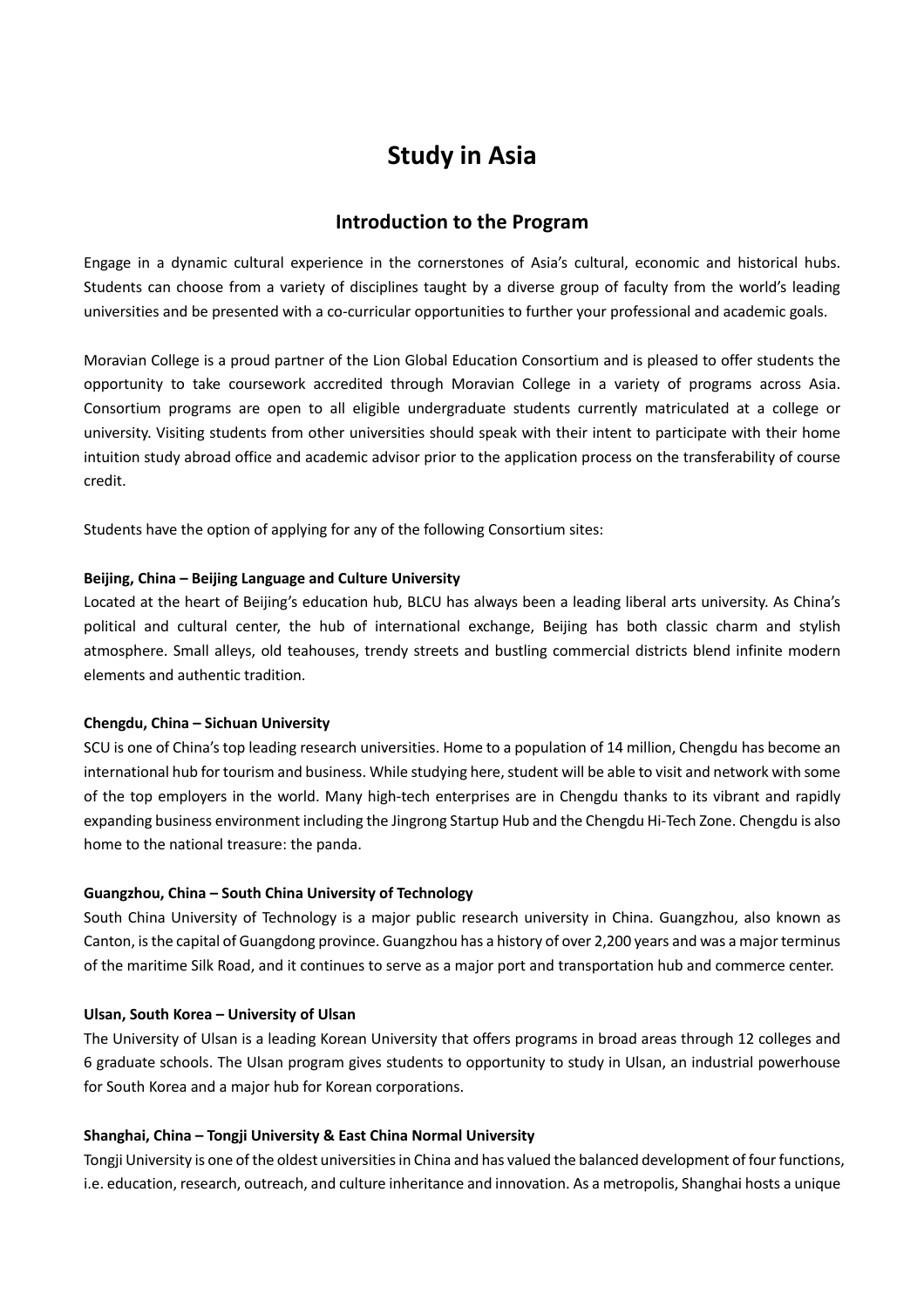# **Study in Asia**

## **Introduction to the Program**

Engage in a dynamic cultural experience in the cornerstones of Asia's cultural, economic and historical hubs. Students can choose from a variety of disciplines taught by a diverse group of faculty from the world's leading universities and be presented with a co-curricular opportunities to further your professional and academic goals.

Moravian College is a proud partner of the Lion Global Education Consortium and is pleased to offer students the opportunity to take coursework accredited through Moravian College in a variety of programs across Asia. Consortium programs are open to all eligible undergraduate students currently matriculated at a college or university. Visiting students from other universities should speak with their intent to participate with their home intuition study abroad office and academic advisor prior to the application process on the transferability of course credit.

Students have the option of applying for any of the following Consortium sites:

#### **Beijing, China – Beijing Language and Culture University**

Located at the heart of Beijing's education hub, BLCU has always been a leading liberal arts university. As China's political and cultural center, the hub of international exchange, Beijing has both classic charm and stylish atmosphere. Small alleys, old teahouses, trendy streets and bustling commercial districts blend infinite modern elements and authentic tradition.

#### **Chengdu, China – Sichuan University**

SCU is one of China's top leading research universities. Home to a population of 14 million, Chengdu has become an international hub for tourism and business. While studying here, student will be able to visit and network with some of the top employers in the world. Many high-tech enterprises are in Chengdu thanks to its vibrant and rapidly expanding business environment including the Jingrong Startup Hub and the Chengdu Hi-Tech Zone. Chengdu is also home to the national treasure: the panda.

#### **Guangzhou, China – South China University of Technology**

South China University of Technology is a major public research university in China. Guangzhou, also known as Canton, is the capital of Guangdong province. Guangzhou has a history of over 2,200 years and was a major terminus of the maritime Silk Road, and it continues to serve as a major port and transportation hub and commerce center.

#### **Ulsan, South Korea – University of Ulsan**

The University of Ulsan is a leading Korean University that offers programs in broad areas through 12 colleges and 6 graduate schools. The Ulsan program gives students to opportunity to study in Ulsan, an industrial powerhouse for South Korea and a major hub for Korean corporations.

#### **Shanghai, China – Tongji University & East China Normal University**

Tongji University is one of the oldest universities in China and has valued the balanced development of four functions, i.e. education, research, outreach, and culture inheritance and innovation. As a metropolis, Shanghai hosts a unique